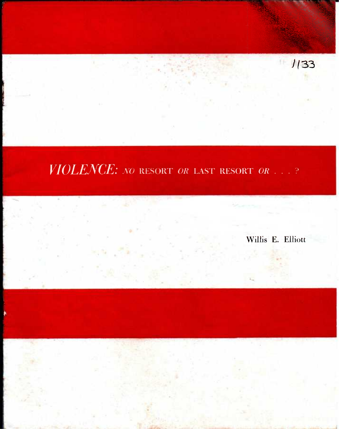$1/33$ 

## *VIOLENCE: NO* RESORT *OR* LAST RESORT *OR. .*

Willis E. Elliott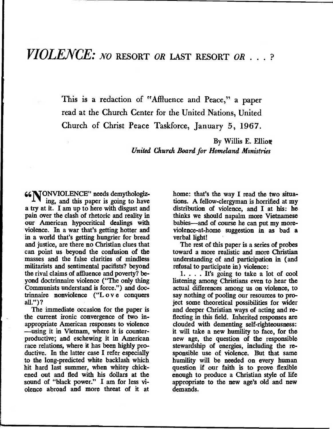**This is a redaction of "Affluence and Peace," a paper read at the Church Center for the United Nations, United Church of Christ Peace Taskforce, January 5, 1967.** 

> **By Willis E. Elliott**  *United Church Board for Homeland Ministries*

**661VONVIOLENCE" needs demythologiz**ing, and this paper is going to have **a try at it. I am up to here with disgust and pain over the clash of rhetoric and reality in our American hypocritical dealings with violence. In a war that's getting hotter and in a world that's getting hungrier for bread and justice, are there no Christian clues that can point us beyond the confusion of the masses and the false clarifies of mindless militarists and sentimental pacifists? beyond the rival claims of affluence and poverty? beyond doctrinnaire violence ("The only thing Communists understand is force.") and doctrinnaire nonviolence ("L o v e conquers** 

**The immediate occasion for the paper is the current ironic convergence of two inappropriate American responses to violence —using it in Vietnam, where it is counterproductive; and eschewing it in American race relations, where it has been highly productive. In the latter case I refer especially to the long-predicted white backlash which hit hard last summer, when whitey chickened out and fled with his dollars at the sound of "black power." I am for less violence abroad and more threat of it at** 

**home: that's the way I read the two situations. A fellow-clergyman is horrified at my distribution of violence, and I at his: he thinks we should napalm more Vietnamese babies—and of course he can put my moreviolence-at-home suggestion in as bad a verbal light!** 

**The rest of this paper is a series of probes toward a more realistic and more Christian understanding of and participation in (and refusal to participate in) violence:** 

**1. . . . It's going to take a lot of cool listening among Christians even to hear the actual differences among us on violence, to say nothing of pooling our resources to project some theoretical possibilities for wider and deeper Christian ways of acting and reflecting in this field. Inherited responses are clouded with dementing self-righteousness: it will take a new humility to face, for the new age, the question of the responsible stewardship of energies, including the responsible use of violence. But that same humility will be needed on every human question if our faith is to prove flexible enough to produce a Christian style of life appropriate to the new age's old and new demands.**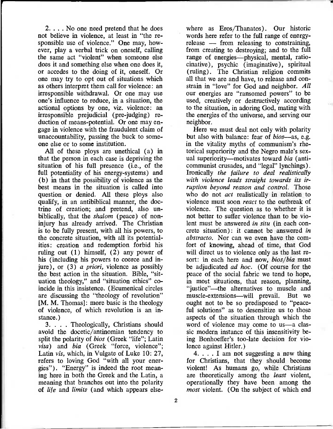2. . . . No one need pretend that he does not believe in violence, at least in "the responsible use of violence." One may, however, play a verbal trick on oneself, calling the same act "violent" when someone else does it and something else when one does it, or accedes to the doing of it, oneself. Or one may try to opt out of situations which as others interpret them call for violence: an irresponsible withdrawal. Or one may use one's influence to reduce, in a situation, the actional options by one, viz, violence: an irresponsible prejudicial (pre-judging) reduction of means-potential. Or one may engage in violence with the fraudulent claim of unaccountability, passing the buck to someone else or to some institution.

All of these ploys are unethical (a) in that the person in each case is depriving the situation of his full presence (i.e., of the full potentiality of his energy-systems) and (b) in that the possibility of violence as the best means in the situation is called into question or denied. All these ploys also qualify, in an antibiblical manner, the doctrine of creation; and pretend, also unbiblically, that the *shalom* (peace) of noninjury has already arrived. The Christian is to be fully present, with all his powers, to the concrete situation, with all its potentialities: creation and redemption forbid his ruling out (1) himself, (2) any power of his (including his powers to coerce and injure), or (3) *a priori,* violence as possibly the best action in the situation. Bible, "situation theology," and "situation ethics" coincide in this insistence. (Ecumenical circles are discussing the "theology of revolution" [M. M. Thomas]: more basic is the theology of violence, of which revolution is an instance.)

3. . . . Theologically, Christians should avoid the docetic/antinomian tendency to split the polarity of *bios* (Greek "life"; Latin *vita)* and *bia* (Greek "force, violence"; Latin *vis,* which, in Vulgate of Luke 10: 27, refers to loving God "with all your energies"). "Energy" is indeed the root meaning here in both the Greek and the Latin, a meaning that branches out into the polarity of *life* and *limits* (and which appears else-

where as Eros/Thanatos). Our historic words here refer to the full range of energyrelease — from releasing to constraining, from creating to destroying; and to the full range of energies—physical, mental, ratiocinative), psychic (imaginative), spiritual (ruling). The Christian religion commits all that we are and have, to release and constrain in "love" for God and neighbor. *All*  our energies are "ransomed powers" to be used, creatively or destructively according to the situation, in adoring God, mating with the energies of the universe, and serving our neighbor.

Here we must deal not only with polarity but also with balance: fear of *bios—as,* e.g. in the vitality myths of communism's rhetorical superiority and the Negro male's sexual superiority—motivates toward *bia* (anticommunist crusades, and "legal" lynchings). Ironically *the failure to deal realistically with violence leads straight towards its irruption beyond reason and control.* Those who do not *act* realistically in relation to violence must soon *react* to the outbreak of violence. The question as to whether it is not better to suffer violence than to be violent must be answered *in situ* (in each concrete situation): it cannot be answered *in abstracto.* Nor can we even have the comfort of knowing, ahead of time, that God will direct us to violence only as the last resort: in each here and now, *bios/bia* must be adjudicated *ad hoc.* (Of course for the peace of the social fabric we tend to hope, in most situations, that reason, planning, "justice"—the alternatives to muscle and muscle-extensions—will prevail. But we ought not to be so predisposed to "peaceful solutions" as to desensitize us to those aspects of the situation through which the word of violence may come to us—a classic modern instance of this insensitivity being Bonhoeffer's too-late decision for violence against Hitler.)

4. . . . I am not suggesting a new thing for Christians, that they should become violent! As humans go, while Christians are theoretically among the *least* violent, operationally they have been among the *most* violent. (On the subject of which end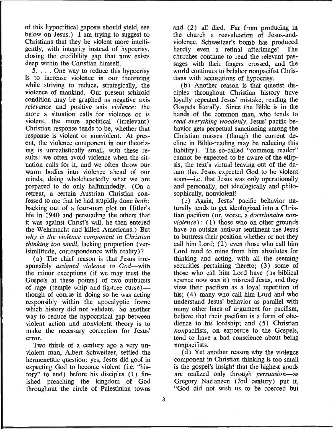of this hypocritical gaposis should yield, see below on Jesus.) I am trying to suggest to Christians that they be violent more intelligently, with integrity instead of hypocrisy, closing the credibility gap that now exists deep within the Christian himself.

5. . . . One way to reduce this hypocrisy is to increase violence in our theorizing while striving to reduce, strategically, the violence of mankind. Our present schizoid condition may be graphed as negative axis *relevance* and positive axis *violence:* the more a situation calls for violence or is violent, the more apolitical (irrelevant) Christian response tends to be, whether that response is violent or nonviolent. At present, the violence component in our theorizing is unrealistically small, with these results: we often avoid violence when the situation calls for it, and we often throw our warm bodies into violence ahead of our minds, doing wholeheartedly what we are prepared to do only halfmindedly. (On a retreat, a certain Austrian Christian confessed to me that he had stupidly done *both:*  backing out of a four-man plot on Hitler's life in 1940 and persuading the others that it was against Christ's will, he then entered the Wehrmacht and killed Americans.) But *why is the violence component in Christian thinking too small,* lacking proportion (verisimilitude, correspondence with reality)?

(a) The chief reason is that Jesus irresponsibly *assigned violence to God—with*  the minor exceptions (if we may trust the Gospels at these points) of two outbursts of rage (temple whip and fig-tree curse) though of course in doing so he was acting responsibly within the apocalyptic frame which history did not validate. So another way to reduce the hypocritical gap between violent action and nonviolent theory is to make the necessary correction for Jesus' error.

Two thirds of a century ago a very unviolent man, Albert Schweitzer, settled the hermeneutic question: yes, Jesus did goof in expecting God to become violent (i.e. "history" to end) before his disciples (1) finished preaching the kingdom of God throughout the circle of Palestinian towns and (2) all died. Far from producing in the church a reevaluation of Jesus-andviolence, Schweitzer's bomb has produced hardly even a retinal afterimage! The churches continue to read the relevant passages with their fingers crossed, and the world continues to belabor nonpacifist Christians with accusations of hypocrisy.

(b) Another reason is that quietist disciples throughout Christian history have loyally repeated Jesus' mistake, reading the Gospels literally. Since the Bible is in the hands of the common man, who tends to *read everything woodenly,* Jesus' pacific behavior gets perpetual sanctioning among the Christian masses (though the current decline in Bible-reading may be reducing this liability). The so-called "common reader" cannot be expected to be aware of the ellipsis, the text's virtual leaving out of the datum that Jesus expected God to be violent soon—i.e. that Jesus was only operationally and personally, not ideologically and philosophically, nonviolent!

(c) Again, Jesus' pacific behavior naturally tends to get ideologized into a Christian pacifism (or, worse, a *doctrinnaire nonviolence*): (1) those who on other grounds have an outsize antiwar sentiment use Jesus to buttress their position whether or not they call him Lord; (2) even those who call him Lord tend to mine from him absolutes for thinking and acting, with all the seeming securities pertaining thereto; (3) some of those who call him Lord have (as biblical science now sees it) misread Jesus, and they view their pacifism as a loyal repetition of his; (4) many who call him Lord and who understand Jesus' behavior as parallel with many other lines of argument for pacifism, believe that their pacifism is a form of obedience to his lordship; and (5) Christian nonpacifists, on exposure to the Gospels, tend to have a bad conscience about being nonpacifists.

(d) Yet another reason why the violence component in Christian thinking is too small is the gospel's insight that the highest goods are realized only through *persuasion—as*  Gregory Nazianzen (3rd century) put it, "God did not wish us to be coerced but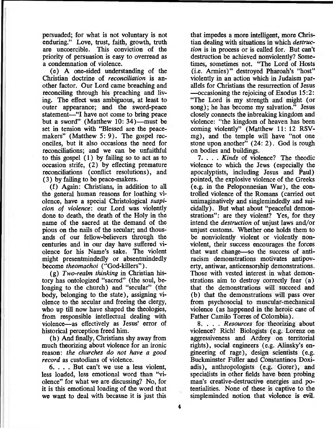persuaded; for what is not voluntary is not enduring." Love, trust, faith, growth, truth are uncoercible. This conviction of the priority of persuasion is easy to overread as a condemnation of violence.

(e) A one-sided understanding of the Christian doctrine of *reconciliation is* another factor. Our Lord came breaching and reconciling through his preaching and living. The effect was ambiguous, at least to outer appearance; and the sword-peace statement—"I have not come to bring peace but a sword" (Matthew 10: 34)—must be set in tension with "Blessed are the peacemakers" (Matthew 5: 9). The gospel reconciles, but it also occasions the need for reconciliations; and we can be unfaithful to this gospel (1) by failing so to act as to occasion strife, (2) by effecting premature reconciliations (conflict resolutions), and (3) by failing to be peace-makers.

(f) Again: Christians, in addition to all the general human reasons for loathing violence, have a special Christological *suspicion of violence:* our Lord was violently done to death, the death of the Holy in the name of the sacred at the demand of the pious on the nails of the secular; and thousands of our fellow-believers through the centuries and in our day have suffered violence for his Name's sake. The violent might presentmindedly or absentmindedly become *theomachoi* ("God-killers").

*(g) Two-realm thinking* in Christian history has ontologized "sacred" (the soul, belonging to the church) and "secular" (the body, belonging to the state), assigning violence to the secular and freeing the clergy, who up till now have shaped the theologies, from responsible intellectual dealing with violence—as effectively as Jesus' error of historical perception freed him.

(h) And finally, Christians shy away from much theorizing about violence for an ironic reason: *the churches do not have* a *good record* as custodians of violence.

6. . . . But can't we use a less violent, less loaded, less emotional word than "violence" for what we are discussing? No, for it is this emotional loading of the word that we want to deal with because it is just this

that impedes a more intelligent, more Christian dealing with situations in which *destruction is* in process or is called for. But can't destruction be achieved nonviolently? Sometimes, sometimes not. "The Lord of Hosts (i.e. Armies)" destroyed Pharoah's "host" violently in an action which in Judaism parallels for Christians the resurrection of Jesus —occasioning the rejoicing of Exodus 15:2: "The Lord is my strength and might (or song); he has become my salvation." Jesus closely connects the inbreaking kingdom and violence: "the kingdom of heaven has been coming violently" (Matthew 11: 12 RSVmg), and the temple will have "not one stone upon another" (24: 2). God is rough on bodies and buildings.

7. . . . *Kinds* of violence? The theodic violence to which the Jews (especially the apocalyptists, including Jesus and Paul) pointed, the explosive violence of the Greeks (e.g. in the Peloponnesian War), the controlled violence of the Romans (carried out unimaginatively and singlemindedly and suicidally). But what about "peaceful demonstrations": are they violent? Yes, for they intend the *destruction* of unjust laws and/or unjust customs. Whether one holds them to be nonviolently violent or violently nonviolent, their success encourages the forces that want change—so the success of antiracism demonstrations motivates antipoverty, antiwar, anticensorship demonstrations. Those with vested interest in what demonstrations aim to destroy correctly fear (a) that the demonstrations will succeed and (b) that the demonstrations will pass over from psychosocial to muscular-mechanical violence (as happened in the heroic case of Father Camilo Torres of Colombia).

8. . . . *Resources* for theorizing about violence? Rich! Biologists (e.g. Lorenz on aggressiveness and Ardrey on territorial rights), social engineers (e.g. Alinsky's engineering of rage), design scientists (e.g. Buckminster Fuller and Constantinos Doxiadis), anthropologists (e.g. Gorer), and specialists in other fields have been probing man's creative-destructive energies and potentialities. None of these is captive to the simpleminded notion that violence is evil.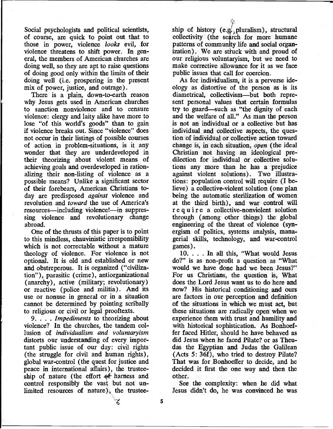Social psychologists and political scientists, of course, are quick to point out that to those in power, violence *looks* evil, for violence threatens to shift power. In general, the members of American churches are doing well, so they are apt to raise questions of doing good only within the limits of their doing well (i.e. prospering in the present mix of power, justice, and outrage).

There is a plain, down-to-earth reason why Jesus gets used in American churches to sanction nonviolence and to censure violence: clergy and laity alike have more to lose "of this world's goods" than to gain if violence breaks out. Since "violence" does not occur in their listings of possible courses of action in problem-situations, is it any wonder that they are underdeveloped in their theorizing about violent means of achieving goals and overdeveloped in rationalizing their non-listing of violence as a possible means? Unlike a significant sector of their forebears, American Christians today are predisposed *against* violence and revolution and *toward* the use of America's resources—including violence!—in suppressing violence and revolutionary change abroad.

One of the thrusts of this paper is to point to this mindless, chauvinistic irresponsibility which is not correctable without a mature theology of violence. For violence is not optional. It is old and established or new and obstreperous. It is organized ("civilization"), parasitic (crime), antiorganizational (anarchy), active (military; revolutionary) or reactive (police and militia). And its use or nonuse in general or in a situation cannot be determined by pointing scribally to religious or civil or legal prooftexts.

9. . . . *Impediments* to theorizing about violence? In the churches, the tandem collusion of *individualism and voluntaryism*  distorts our understanding of every important public issue of our day: civil rights (the struggle for civil and human rights), global war-control (the quest for justice and peace in international affairs), the trusteeship of nature (the effort  $ef$  harness and control responsibly the vast but not unlimited resources of nature), the trustee-

ship of history (e.g., pluralism), structural collectivity (the search for more humane patterns of community life and social organization). We are struck with and proud of our religious voluntaryism, but we need to make corrective allowance for it as we face public issues that call for coercion.

As for individualism, it is a perverse ideology as distortive of the person as is its diametrical, collectivism—but both represent personal values that certain formulas try to guard—such as "the dignity of each and the welfare of all." As man the person is not an individual or a collective but has individual and collective aspects, the question of individual or collective action toward change is, in each situation, *open* (the ideal Christian not having an ideological predilection for individual or collective solutions any more than he has a prejudice against violent solutions). Two illustrations: population control will require (I believe) a collective-violent solution (one plan being the automatic sterilization of women at the third birth), and war control will require a collective-nonviolent solution through (among other things) the global engineering of the threat of violence (synergism of politics, systems analysis, managerial skills, technology, and war-control games).

10. . . . In all this, "What would Jesus do?" is as non-profit a question as "What would we have done had we been Jesus?" For us Christians, the question is, What does the Lord Jesus want us to do here and now? His historical conditioning and ours are factors in our perception and definition of the situations in which we must act, but these situations are radically open when we experience them with trust and humility and with historical sophistication. As Bonhoeffer faced Hitler, should he have behaved as did Jesus when he faced Pilate? or as Theudas the Egyptian and Judas the Galilean (Acts 5: 36f), who tried to destroy Pilate? That was for Bonhoeffer to decide, and he decided it first the one way and then the other.

See the complexity: when he did what Jesus didn't do, he was convinced he was

 $\zeta$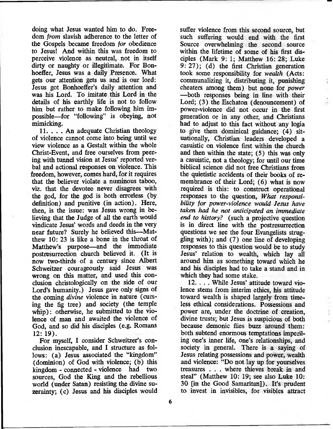doing what Jesus wanted him to do. Freedom *from* slavish adherence to the letter of the Gospels became freedom *for* obedience to Jesus! And within this was freedom to perceive violence as neutral, not in itself dirty or naughty or illegitimate. For Bonhoeffer, Jesus was a daily Presence. What gets our attention gets us and is our lord: Jesus got Bonhoeffer's daily attention and was his Lord. To imitate this Lord in the details of his earthly life is not to follow him but rather to make following him impossible—for "following" is obeying, not mimicking.

11. . . . An adequate Christian theology of violence cannot come into being until we view violence as a Gestalt within the whole Christ-Event, and free ourselves from peering with tunnel vision at Jesus' reported verbal and actional responses on violence. This freedom, however, comes hard, for it requires that the believer violate a numinous taboo, viz, that the devotee never disagrees with the god, for the god is both errorless (by definition) and punitive (in action). Here, then, is the issue: was Jesus wrong in believing that the Judge of all the earth would vindicate Jesus' words and deeds in the very near future? Surely he believed this—Matthew 10: 23 is like a bone in the throat of Matthew's purpose—and the immediate postresurrection church believed it. (It is now two-thirds of a century since Albert Schweitzer courageously said Jesus was wrong on this matter, and used this conclusion christologically on the side of our Lord's humanity.) Jesus gave only signs of the coming *divine* violence in nature (cursing the fig tree) and society (the temple whip): otherwise, he submitted to the violence of man and awaited the violence of God, and so did his disciples (e.g. Romans 12: 19).

For myself, I consider Schweitzer's conclusion inescapable, and I structure as follows: (a) Jesus associated the "kingdom" (dominion) of God with violence; (b) this kingdom - connected - violence had two sources, God the King and the rebellious world (under Satan) resisting the divine suzerainty; (c) Jesus and his disciples would

suffer violence from this second source, but such suffering would end with the first Source overwhelming the second source within the lifetime of some of his first disciples (Mark 9: 1; Matthew 16: 28; Luke 9: 27); (d) the first Christian generation took some responsibility for *wealth* (Acts: communalizing it, distributing it, punishing cheaters among them) but none for *power*  —both responses being in line with their Lord; (3) the Eschaton (denouncement) of power-violence did not occur in the first generation or in any other, and Christians had to adjust to this fact without any logia to give them dominical guidance; (4) situationally, Christian leaders developed a casuistic on violence first within the church and then within the state; (5) this was only a casuistic, not a theology; for until our time biblical science did not free Christians from the quietistic accidents of their books of remembrance of their Lord; (6) what is now required is this: to construct operational responses to the question, *What responsibility for power-violence would Jesus have taken had he not anticipated an immediate end to history?* (such a projective question is in direct line with the postresurrection questions we see the four Evangelists struggling with); and (7) one line of developing responses to this question would be to study Jesus' relation to wealth, which lay all around him as something toward which he and his disciples had to take a stand and in which they had some stake.

÷.

12. . . . While Jesus' attitude toward violence stems from interim ethics, his attitude toward wealth is shaped largely from timeless ethical considerations. Possessions and power are, under the doctrine of creation, divine trusts; but Jesus is suspicious of both because demonic flies buzz around them: both subtend enormous temptations imperiling one's inner life, one's relationships, and society in general. There is a saying of Jesus relating possessions and power, wealth and violence: "Do not lay up for yourselves treasures . . . where thieves break in and steal" (Matthew 10: 19; see also Luke 10: 30 [in the Good Samaritan]). It's prudent to invest in invisibles, for visibles attract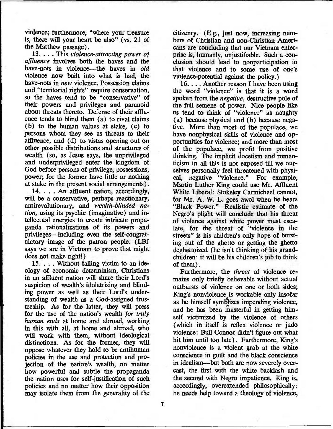violence; furthermore, "where your treasure is, there will your heart be also" (vs. 21 of the Matthew passage).

13. . . . This *violence-attracting power of affluence* involves both the haves and the have-nots in violence—the haves in *old*  violence now built into what is had, the have-nots in *new* violence. Possession claims and "territorial rights" require conservation, so the haves tend to be "conservative" of their powers and privileges and paranoid about threats thereto. Defense of their affluence tends to blind them (a) to rival claims (b) to the human values at stake, (c) to persons whom they see as threats to their affluence, and (d) to vistas opening out on other possible distributions and structures of wealth (so, as Jesus says, the unprivileged and underprivileged enter the kingdom of God before persons of privilege, possessions, power; for the former have little or nothing at stake in the present social arrangements).

14. . . . An affluent nation, accordingly, will be a conservative, perhaps reactionary, antirevolutionary, and *wealth-blinded nation,* using its psychic (imaginative) and intellectual energies to create intricate propaganda rationalizations of its powers and privileges—including even the self-congratulatory image of the patron people. (LBJ says we are in Vietnam to prove that might does not make right!)

15. . . . Without falling victim to an ideology of economic determinism, Christians in an affluent nation will share their Lord's suspicion of wealth's idolatrizing and blinding power as well as their Lord's understanding of wealth as a God-assigned trusteeship. As for the latter, they will press for the use of the nation's wealth *for truly human ends* at home and abroad, working in this with all, at home and abroad, who will work with them, without ideological distinctions. As for the former, they will oppose whatever they hold to be antihuman policies in the use and protection and projection of the nation's wealth, no matter how powerful and subtle the propaganda the nation uses for self-justification of such policies and no matter how their opposition may isolate them from the generality of the

citizenry. (E.g., just now, increasing numbers of Christian and non-Christian Americans are concluding that our Vietnam enterprise is, humanly, unjustifiable. Such a conclusion should lead to nonparticipation in that violence and to some use of one's violence-potential against the policy.)

16.. . . Another reason I have been using the word "violence" is that it is a word spoken from the *negative,* destructive pole of the full semene of power. Nice people like us tend to think of "violence" as naughty (a) because physical and (b) because negative. More than most of the populace, we have nonphysical skills of violence and opportunities for violence; and more than most of the populace, we profit from positive thinking. The implicit docetism and romanticism in all this is not exposed till we ourselves personally feel threatened with physical, negative "violence." For example, Martin Luther King could use Mr. Affluent White Liberal: Stokeley Carmichael cannot, for Mr. A. W. L. goes awol when he hears "Black Power." Realistic estimate of the Negro's plight will conclude that his threat of violence against white power must escalate, for the threat of "violence in the streets" is his children's only hope of bursting out of the ghetto or getting the ghetto deghettoized (he isn't thinking of his grandchildren: it will be his children's job to think of them).

Furthermore, the *threat* of violence remains only briefly believable without actual outbursts of violence on one or both sides; King's nonviolence is workable only insofar as he himself symblizes impending violence, and he has been masterful in getting himself victimized by the violence of others (which in itself is reflex violence or judo violence: Bull Connor didn't figure out what hit him until too late). Furthermore, King's nonviolence is a violent grab at the white conscience in guilt and the black conscience in idealism—but both are now severely overcast, the first with the white backlash and the second with Negro impatience. King is, accordingly, overextended philosophically: he needs help toward a theology of violence,

**7**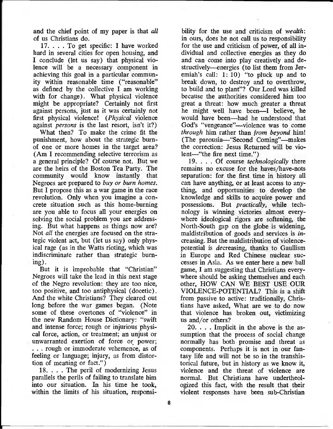and the chief point of my paper is that *all*  of us Christians do.

17. . . . To get specific: I have worked hard in several cities for open housing, and I conclude (let us say) that physical violence will be a necessary component in achieving this goal in a particular community within reasonable time ("reasonable" as defined by the collective I am working with for change). What physical violence might be appropriate? Certainly not first against persons, just as it was certainly not first physical violence! *(Physical* violence against *persons* is the last resort, isn't it?)

What then? To make the crime fit the punishment, how about the strategic burnof one or more homes in the target area? (Am I recommending selective terrorism as a general principle? Of course not. But we are the heirs of the Boston Tea Party. The community would know instantly that Negroes are prepared to *buy or burn homes.*  But I propose this as a war game in the race revolution. Only when you imagine a concrete situation such as this home-burning are you able to focus all your energies on solving the social problem you are addressing. But what happens as things now are? Not *all* the energies are focused on the strategic violent act, but (let us say) only physical rage (as in the Watts rioting, which was indiscriminate rather than strategic burning).

But it is improbable that "Christian" Negroes will take the lead in this next stage of the Negro revolution: they are too nice, too positive, and too antiphysical (docetic). And the white Christians? They cleared out long before the war games began. (Note some of these overtones of "violence" in the new Random House Dictionary: "swift and intense force; rough or injurious physical force, action, or treatment; an unjust or unwarranted exertion of force or power; . . . rough or immoderate vehemence, as of feeling or language; injury, as from distortion of meaning or fact.")

18. . . . The peril of modernizing Jesus parallels the perils of failing to translate him into our situation. In his time he took, within the limits of his situation, responsibility for the use and criticism of *wealth:*  in ours, does he not call us to responsibility for the use and criticism of power, of all individual and collective energies as they do and can come into play creatively and destructively—energies (to list them from Jeremiah's call: 1: 10) "to pluck up and to break down, to destroy and to overthrow, to build and to plant"? Our Lord was killed because the authorities considered him too great a threat: how much greater a threat he might well have been—I believe, he would have been—had he understood that God's "vengeance"—violence was to come *through* him rather than *from beyond* him! (The parousia—"Second Coming"—makes the correction: Jesus Returned will be violent—"the fire next time.")

19. . . . Of course *technologically* there remains no excuse for the haves/have-nots separation: for the first time in history all can have anything, or at least access to anything, and opportunities to develop the knowledge and skills to acquire power and possessions. But *practically,* while technology is winning victories almost everywhere ideological rigors are softening, the North-South gap on the globe is widening, maldistribution of goods and services is *increasing.* But the maldistribution of violencepotential is decreasing, thanks to Gaullism in Europe and Red Chinese nuclear successes in Asia. As we enter here a new ball game, I am suggesting that Christians everywhere should be asking themselves and each other, HOW CAN WE BEST USE OUR VIOLENCE-POTENTIAL? This is a shift from passive to active: traditionally, Christians have asked, What are we to do now that violence has broken out, victimizing us and/or others?

20. . . . Implicit in the above is the assumption that the process of social change normally has both promise and threat as components. Perhaps it is not in our fantasy life and will not be so in the transhistorical future, but in history as we know it, violence and the threat of violence are normal. But Christians have undertheologized this fact, with the result that their violent responses have been sub-Christian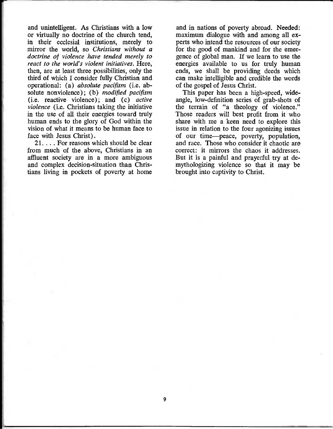and unintelligent. As Christians with a low or virtually no doctrine of the church tend, in their ecclesial institutions, merely to mirror the world, so *Christians without* a *doctrine of violence have tended merely to react to the world's violent initiatives.* Here, then, are at least three possibilities, only the third of which I consider fully Christian and operational: *(a) absolute pacifism* (i.e. absolute nonviolence); (b) *modified pacifism*  (i.e. reactive violence); and (c) *active violence* (i.e. Christians taking the initiative in the use of all their energies toward truly human ends to the glory of God within the vision of what it means to be human face to face with Jesus Christ).

21. . . . For reasons which should be clear from much of the above, Christians in an affluent society are in a more ambiguous and complex decision-situation than Christians living in pockets of poverty at home and in nations of poverty abroad. Needed: maximum dialogue with and among all experts who intend the resources of our society for the good of mankind and for the emergence of global man. If we learn to use the energies available to us for truly human ends, we shall be providing deeds which can make intelligible and credible the words of the gospel of Jesus Christ.

This paper has been a high-speed, wideangle, low-definition series of grab-shots of the terrain of "a theology of violence." Those readers will best profit from it who share with me a keen need to explore this issue in relation to the four agonizing issues of our time—peace, poverty, population, and race. Those who consider it chaotic are correct: it mirrors the chaos it addresses. But it is a painful and prayerful try at demythologizing violence so that it may be brought into captivity to Christ.